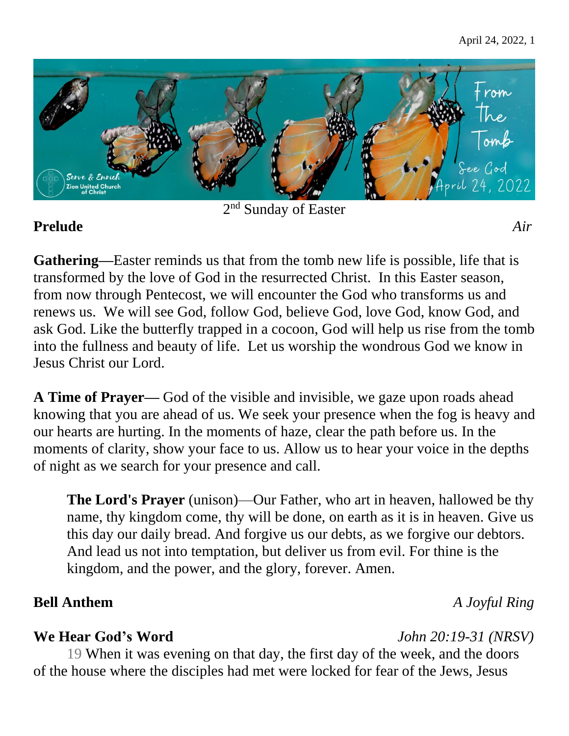

2<sup>nd</sup> Sunday of Easter

# **Prelude** *Air*

**Gathering—**Easter reminds us that from the tomb new life is possible, life that is transformed by the love of God in the resurrected Christ. In this Easter season, from now through Pentecost, we will encounter the God who transforms us and renews us. We will see God, follow God, believe God, love God, know God, and ask God. Like the butterfly trapped in a cocoon, God will help us rise from the tomb into the fullness and beauty of life. Let us worship the wondrous God we know in Jesus Christ our Lord.

**A Time of Prayer—** God of the visible and invisible, we gaze upon roads ahead knowing that you are ahead of us. We seek your presence when the fog is heavy and our hearts are hurting. In the moments of haze, clear the path before us. In the moments of clarity, show your face to us. Allow us to hear your voice in the depths of night as we search for your presence and call.

**The Lord's Prayer** (unison)—Our Father, who art in heaven, hallowed be thy name, thy kingdom come, thy will be done, on earth as it is in heaven. Give us this day our daily bread. And forgive us our debts, as we forgive our debtors. And lead us not into temptation, but deliver us from evil. For thine is the kingdom, and the power, and the glory, forever. Amen.

# **Bell Anthem** *A Joyful Ring*

# **We Hear God's Word** *John 20:19-31 (NRSV)*

19 When it was evening on that day, the first day of the week, and the doors of the house where the disciples had met were locked for fear of the Jews, Jesus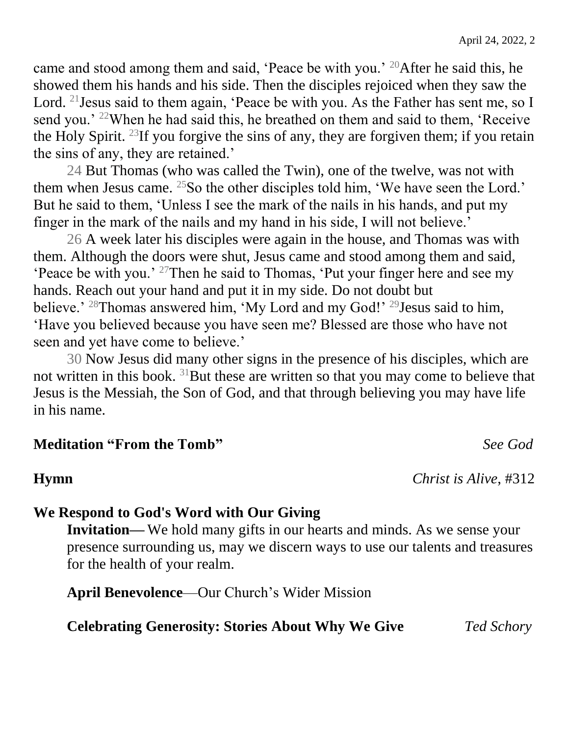came and stood among them and said, 'Peace be with you.' <sup>20</sup>After he said this, he showed them his hands and his side. Then the disciples rejoiced when they saw the Lord. <sup>21</sup> Jesus said to them again, 'Peace be with you. As the Father has sent me, so I send you.' <sup>22</sup>When he had said this, he breathed on them and said to them, 'Receive the Holy Spirit. <sup>23</sup>If you forgive the sins of any, they are forgiven them; if you retain the sins of any, they are retained.'

24 But Thomas (who was called the Twin), one of the twelve, was not with them when Jesus came. <sup>25</sup>So the other disciples told him, 'We have seen the Lord.' But he said to them, 'Unless I see the mark of the nails in his hands, and put my finger in the mark of the nails and my hand in his side, I will not believe.'

26 A week later his disciples were again in the house, and Thomas was with them. Although the doors were shut, Jesus came and stood among them and said, 'Peace be with you.' <sup>27</sup>Then he said to Thomas, 'Put your finger here and see my hands. Reach out your hand and put it in my side. Do not doubt but believe.' <sup>28</sup>Thomas answered him, 'My Lord and my God!' <sup>29</sup> Jesus said to him, 'Have you believed because you have seen me? Blessed are those who have not seen and yet have come to believe.'

30 Now Jesus did many other signs in the presence of his disciples, which are not written in this book. <sup>31</sup>But these are written so that you may come to believe that Jesus is the Messiah, the Son of God, and that through believing you may have life in his name.

### **Meditation "From the Tomb"** *See God*

**Hymn** *Christ is Alive*, #312

### **We Respond to God's Word with Our Giving**

**Invitation—** We hold many gifts in our hearts and minds. As we sense your presence surrounding us, may we discern ways to use our talents and treasures for the health of your realm.

**April Benevolence**—Our Church's Wider Mission

**Celebrating Generosity: Stories About Why We Give** *Ted Schory*